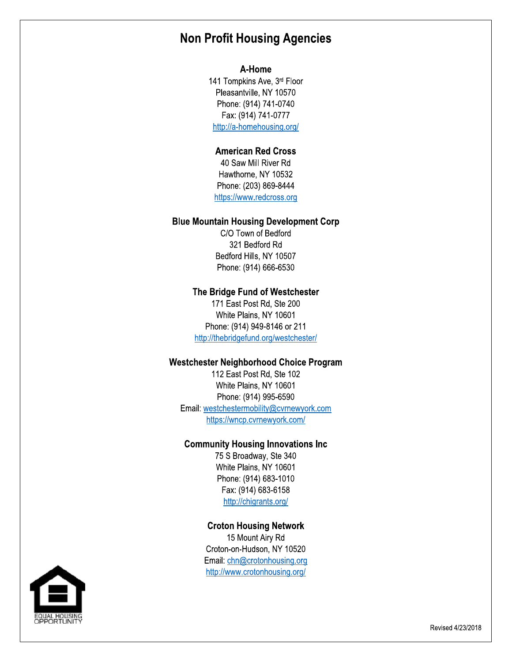# **Non Profit Housing Agencies**

#### A-Home

141 Tompkins Ave, 3rd Floor Pleasantville, NY 10570 Phone: (914) 741-0740 Fax: (914) 741-0777 http://a-homehousing.org/

### **American Red Cross**

40 Saw Mill River Rd Hawthorne, NY 10532 Phone: (203) 869-8444 https://www.redcross.org

#### **Blue Mountain Housing Development Corp**

C/O Town of Bedford 321 Bedford Rd Bedford Hills, NY 10507 Phone: (914) 666-6530

#### The Bridge Fund of Westchester

171 East Post Rd, Ste 200 White Plains, NY 10601 Phone: (914) 949-8146 or 211 http://thebridgefund.org/westchester/

#### **Westchester Neighborhood Choice Program**

112 East Post Rd, Ste 102 White Plains, NY 10601 Phone: (914) 995-6590 Email: westchestermobility@cvrnewyork.com https://wncp.cvrnewyork.com/

#### **Community Housing Innovations Inc**

75 S Broadway, Ste 340 White Plains, NY 10601 Phone: (914) 683-1010 Fax: (914) 683-6158 http://chigrants.org/

## **Croton Housing Network**

15 Mount Airy Rd Croton-on-Hudson, NY 10520 Email: chn@crotonhousing.org http://www.crotonhousing.org/

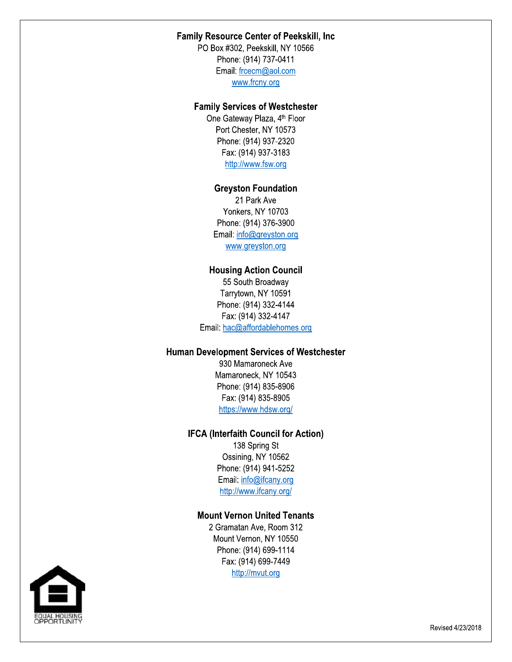### **Family Resource Center of Peekskill, Inc.**

PO Box #302, Peekskill, NY 10566 Phone: (914) 737-0411 Email: frcecm@aol.com www.frcny.org

#### **Family Services of Westchester**

One Gateway Plaza, 4<sup>th</sup> Floor Port Chester, NY 10573 Phone: (914) 937-2320 Fax: (914) 937-3183 http://www.fsw.org

#### **Greyston Foundation**

21 Park Ave Yonkers, NY 10703 Phone: (914) 376-3900 Email: info@greyston.org www.greyston.org

#### **Housing Action Council**

55 South Broadway Tarrytown, NY 10591 Phone: (914) 332-4144 Fax: (914) 332-4147 Email: hac@affordablehomes.org

#### **Human Development Services of Westchester**

930 Mamaroneck Ave Mamaroneck, NY 10543 Phone: (914) 835-8906 Fax: (914) 835-8905 https://www.hdsw.org/

### **IFCA (Interfaith Council for Action)**

138 Spring St Ossining, NY 10562 Phone: (914) 941-5252 Email: info@ifcany.org http://www.ifcany.org/

### **Mount Vernon United Tenants**

2 Gramatan Ave. Room 312 Mount Vernon, NY 10550 Phone: (914) 699-1114 Fax: (914) 699-7449 http://mvut.org

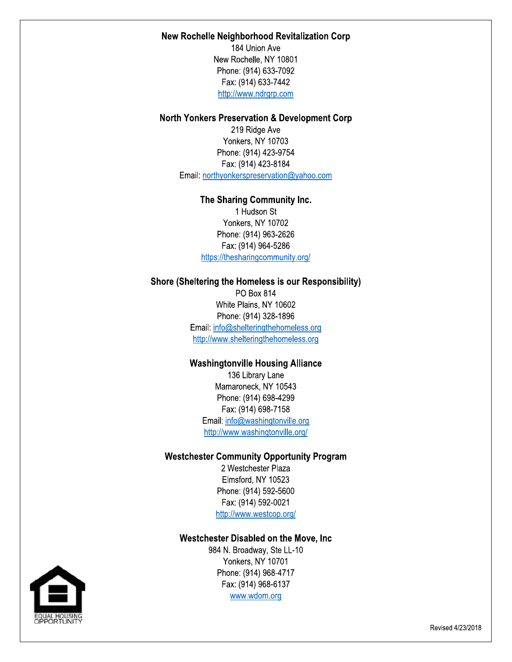#### New Rochelle Neighborhood Revitalization Corp

184 Union Ave New Rochelle, NY 10801 Phone: (914) 633-7092 Fax: (914) 633-7442 http://www.ndrgrp.com

#### **North Yonkers Preservation & Development Corp**

219 Ridge Ave Yonkers, NY 10703 Phone: (914) 423-9754 Fax: (914) 423-8184 Email: northyonkerspreservation@yahoo.com

### The Sharing Community Inc.

1 Hudson St Yonkers, NY 10702 Phone: (914) 963-2626 Fax: (914) 964-5286 https://thesharingcommunity.org/

#### Shore (Sheltering the Homeless is our Responsibility)

PO Box 814 White Plains, NY 10602 Phone: (914) 328-1896 Email: info@shelteringthehomeless.org http://www.shelteringthehomeless.org

### **Washingtonville Housing Alliance**

136 Library Lane Mamaroneck, NY 10543 Phone: (914) 698-4299 Fax: (914) 698-7158 Email: info@washingtonville.org http://www.washingtonville.org/

#### **Westchester Community Opportunity Program**

2 Westchester Plaza Elmsford, NY 10523 Phone: (914) 592-5600 Fax: (914) 592-0021 http://www.westcop.org/

#### Westchester Disabled on the Move, Inc

984 N. Broadway, Ste LL-10 Yonkers, NY 10701 Phone: (914) 968-4717 Fax: (914) 968-6137 www.wdom.org

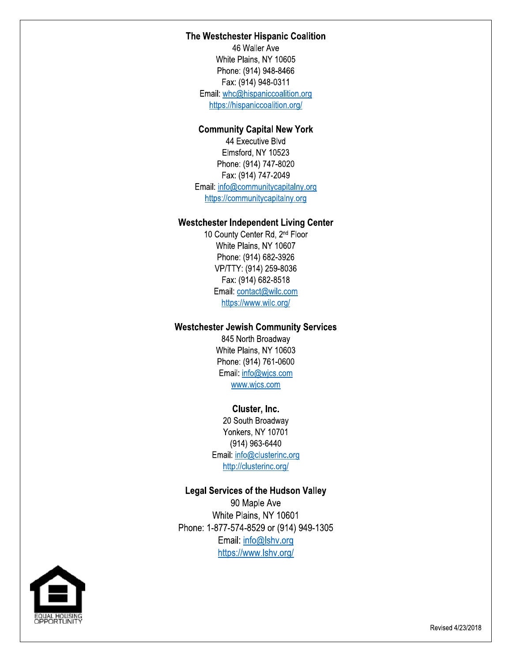#### The Westchester Hispanic Coalition

46 Waller Ave white F The Westchester Hispanic Coalition<br>46 Waller Ave<br>White Plains, NY 10605<br>Phone: (914) 948-8466<br>Fax: (914) 948-0311<br>Email: <u>whc@hispaniccoalition.org</u><br>https://hispaniccoalition.org/<br>**Community Capital New York**<br>44 Executive The Westchester Hispanic Coal<br>46 Waller Ave<br>White Plains, NY 10605<br>Phone: (914) 948-8466<br>Fax: (914) 948-0311<br>Email: <u>whc@hispaniccoalition.org/<br>https://hispaniccoalition.org/</u><br>Community Capital New Yor<br>44 Executive Blvd<br>El Phone: (914) 948-8466 Fax: (914) 948-0311 Email: whc@hispaniccoalition.org https://hispaniccoalition.org/

## Community Capital New York

44 Executive Biva Elmsford, NY 10523 Fax: (914) 948-0311<br>
Email: <u>whc@hispaniccoalition.org</u><br>
https://hispaniccoalition.org/<br> **Community Capital New Yor**<br>
44 Executive Blvd<br>
Elmsford, NY 10523<br>
Phone: (914) 747-8020<br>
Fax: (914) 747-2049<br>
Email: <u>info@communi</u> : (914) 747-8020 rax: (914) 747-2049 Email: info@communitycapitalny.org https://communitycapitalny.org

## westcnester independent Living Center

10 County Center Rd, 2<sup>nd</sup> Floor White Plains, NY 10607 Phone: (914) 747-8020<br>
Fax: (914) 747-2049<br>
Email: <u>info@communitycapitalny.org</u><br>
https://communitycapitalny.org<br> **Westchester Independent Living Cente**<br>
10 County Center Rd, 2<sup>nd</sup> Floor<br>
White Plains, NY 10607<br>
Phone: (91 Fax: (914) 747-2049<br>
Email:  $\frac{info@communitycapitalny.c}{info@communitycapitalny.org}$ <br>
https://communitycapitalny.org<br>
10 County Center Rd, 2<sup>nd</sup> Floor<br>
White Plains, NY 10607<br>
Phone: (914) 682-3926<br>
VP/TTY: (914) 259-8036<br>
Fax: (914) 682-8518<br>
Email: <u>co</u> : (914) 682-3926 Email: <u>info@communitycapitalny.org</u><br>
https://communitycapitalny.org<br>
10 County Center Rd, 2<sup>nd</sup> Floor<br>
White Plains, NY 10607<br>
Phone: (914) 682-3926<br>
VP/TTY: (914) 259-8036<br>
Fax: (914) 682-8518<br>
Email: <u>contact@wilc.com</u><br> VP/TTY: (914) 259-8036 Fax: (914) 682-8518 Email: contact@wilc.com https://www.wilc.org/ VP/TTY: (914) 259-8036<br>
Fax: (914) 682-8518<br>
Email: <u>contact@wilc.com</u><br>
https://www.wilc.org/<br> **Westchester Jewish Community Service**<br>
845 North Broadway<br>
White Plains, NY 10603<br>
Phone: (914) 761-0600<br>
Email: <u>info@wics.co</u>

## westcnester Jewish Community Services

845 North Broadway White Plains, NY 10603 Fax:  $(914)$  682-8518<br>
Email: <u>contact@wilc.com</u><br>
https://www.wilc.org/<br>
Westchester Jewish Community S<br>
845 North Broadway<br>
White Plains, NY 10603<br>
Phone:  $(914)$  761-0600<br>
Email:  $\frac{info@wics.com}{www.wics.com}$ <br>
<u>www.wics.com</u><br>
Cluste Phone: (914) 761-0600 Email: info@wjcs.com www.wjcs.com

#### Cluster, Inc.

zu South Broadway YONKETS, NY 10701 (914) 963-6440 Email: <u>info@ciusterinc.org</u> <u>http://clusterinc.org/</u>

#### Legal Services of the Hudson Valley

90 wapie Ave white F 20 South Broadway<br>
Yonkers, NY 10701<br>
(914) 963-6440<br>
Email: info@clusterinc.org<br>
http://clusterinc.org/<br>
Legal Services of the Hudson Valley<br>
90 Maple Ave<br>
White Plains, NY 10601<br>
Phone: 1-877-574-8529 or (914) 949-1305<br> YONKERS, NY 107<br>
(914) 963-6444<br>
Email: <u>info@clusterin<br>
http://clusterinc.c</u><br>
Legal Services of the Hu<br>
90 Maple Ave<br>
White Plains, NY<br>
Phone: 1-877-574-8529 or<br>
Email: <u>info@lshy<br>
https://www.lshv.</u>  $: 1$ -877-574-8529 or (914) 949-1305 Email: info@lshv.org https://www.lshv.org/

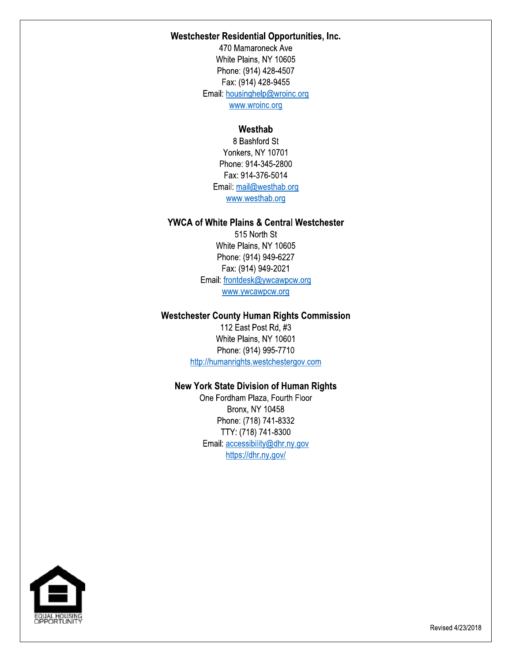#### Westchester Residential Opportunities, Inc.

Westchester Residential Opportunities, Inc.<br>470 Mamaroneck Ave<br>White Plains, NY 10605<br>Phone: (914) 428-4507<br>Fax: (914) 428-9455<br>Email: <u>housinghelp@wroinc.org</u><br>Westhab<br>Reshford St 470 Mamaroneck Ave  $\nu$ White Plains, NY 10605 Phone: (914) 428-4507 8x: (914) 428-9455 Email: housinghelp@wroinc.org<br>www.wroinc.org tchester Residential Opportunities, Inc.<br>
470 Mamaroneck Ave<br>
White Plains, NY 10605<br>
Phone: (914) 428-4507<br>
Fax: (914) 428-9455<br>
Email:  $\frac{housinghelp@wroinc.org}{\underline{www.wroinc.org}}$ <br>
Westhab<br>
8 Bashford St<br>
Yonkers, NY 10701<br>
Phone: 914-345-Westchester Residential Opportunities, Inc.<br>
470 Mamaroneck Ave<br>
White Plains, NY 10605<br>
Phone: (914) 428-4507<br>
Fax: (914) 428-9455<br>
Email: <u>housinghelp@wroinc.org</u><br>
<u>www.wroinc.org</u><br>
Westhab<br>
8 Bashford St<br>
Yonkers, NY 10 White Plains, NY 10605<br>
Phone: (914) 428-4507<br>
Fax: (914) 428-9455<br>
Email: <u>housinghelp@wroinc.org</u><br>
<u>www.wroinc.org</u><br> **Westhab**<br>
8 Bashford St<br>
Yonkers, NY 10701<br>
Phone: 914-345-2800<br>
Fax: 914-345-2800<br>
Fax: 914-376-5014<br>

## westnap

Yonkers, NY 10701 Phone: (914) 428-4507<br>
Fax: (914) 428-9455<br>
Email: <u>housinghelp@wroinc.org</u><br>
<u>www.wroinc.org</u><br> **Westhab**<br>
8 Bashford St<br>
Yonkers, NY 10701<br>
Phone: 914-345-2800<br>
Fax: 914-376-5014<br>
Email: <u>mail@westhab.org</u><br>
WWW.westhab.org Phone: 914-345-2800 Fax: 914-376-5014 Email: mail@westhab.org WWW.wroinc.org<br>
Westhab<br>
8 Bashford St<br>
Yonkers, NY 10701<br>
Phone: 914-345-2800<br>
Fax: 914-376-5014<br>
Email: <u>mail@westhab.org</u><br>
<u>www.westhab.org</u><br> **f White Plains & Central Westchester**<br>
515 North St<br>
White Plains, NY 10605<br> www.westhab.org

## YWCA OT WNIte Plains & Central Westchester

Westhab<br>
8 Bashford St<br>
Yonkers, NY 10701<br>
Phone: 914-345-2800<br>
Fax: 914-376-5014<br>
Email: mail@westhab.org<br>
<u>www.westhab.org</u><br> **A of White Plains & Central Westchester**<br>
515 North St<br>
White Plains, NY 10605<br>
Phone: (914) 9 Yonkers, NY 10701<br>
Phone: 914-345-2800<br>
Fax: 914-376-5014<br>
Email: <u>mail@westhab.org</u><br>
<u>www.westhab.org</u><br> **YWCA of White Plains & Central Westchester**<br>
515 North St<br>
White Plains, NY 10605<br>
Phone: (914) 949-6227<br>
Fax: (914)  $\nu$ vnite Plains, NY 10605 Phone: (914) 949-6227 <%=789
:99;  WWW.westhab.org<br>
YWCA of White Plains & Central Weste<br>
515 North St<br>
White Plains, NY 10605<br>
Phone: (914) 949-6227<br>
Fax: (914) 949-2021<br>
Email: <u>frontdesk@ywcawpcw.org</u><br>
Westchester County Human Rights Com<br>
112 East Post R www.westhab.org<br>
hite Plains & Central Westchester<br>
515 North St<br>
White Plains, NY 10605<br>
Phone: (914) 949-6227<br>
Fax: (914) 949-2021<br>
ail: <u>frontdesk@ywcawpcw.org</u><br>
www.ywcawpcw.org<br>
County Human Rights Commission<br>
112 Eas of White Plains & Central Westchester<br>
515 North St<br>
White Plains, NY 10605<br>
Phone: (914) 949-6227<br>
Fax: (914) 949-2021<br>
Email: <u>frontdesk@ywcawpcw.org</u><br>
www.ywcawpcw.org<br>
ester County Human Rights Commission<br>
112 East Pos

## westchester County Human Rights Commission

112 East Post Rd,  $#3$  $V$  vnite Plains, NY 10601 Phone: (914) 995-7710 <u>stchesterg</u>

## New York State Division of Human Rights

Email: <u>frontdesk@ywcawpcw.org</u><br>
<u>www.ywcawpcw.org</u><br>
Westchester County Human Rights Comm<br>
112 East Post Rd, #3<br>
White Plains, NY 10601<br>
Phone: (914) 995-7710<br>
http://humanrights.westchestergov.com<br>
New York State Division Email: <u>frontdesk@ywcawpcw.org</u><br>
www.ywcawpcw.org<br>
ter County Human Rights Commission<br>
112 East Post Rd, #3<br>
White Plains, NY 10601<br>
Phone: (914) 995-7710<br>
p://humanrights.westchestergov.com<br>
ork State Division of Human Ri One Fordham Plaza, Fourth Floor Westchester County Human Rights Commission<br>
112 East Post Rd, #3<br>
White Plains, NY 10601<br>
Phone: (914) 995-7710<br>
http://humanrights.westchestergov.com<br>
New York State Division of Human Rights<br>
One Fordham Plaza, Fourth Flo 112 East Post Rd, #3<br>White Plains, NY 10601<br>Phone: (914) 995-7710<br>http://humanrights.westchestergov.com<br>New York State Division of Human Rig<br>One Fordham Plaza, Fourth Floor<br>Bronx, NY 10458<br>Phone: (718) 741-8332<br>TTY: (718) Phone: (718) 741-8332 TTY: (718) 741-8300 Email: accessibility@dhr.ny.gov<br>https://dhr.ny.gov/ http://humanrights.westchestergov.com<br> **York State Division of Human Rights**<br>
One Fordham Plaza, Fourth Floor<br>
Bronx, NY 10458<br>
Phone: (718) 741-8332<br>
TTY: (718) 741-8300<br>
Email: <u>accessibility@dhr.ny.gov</u><br>
https://dhr.ny. New York State Division of Human Rights<br>
One Fordham Plaza, Fourth Floor<br>
Bronx, NY 10458<br>
Phone: (718) 741-8332<br>
TTY: (718) 741-8330<br>
Email: <u>accessibility@dhr.ny.gov</u><br>
https://dhr.ny.gov/



Revised 4/23/2018